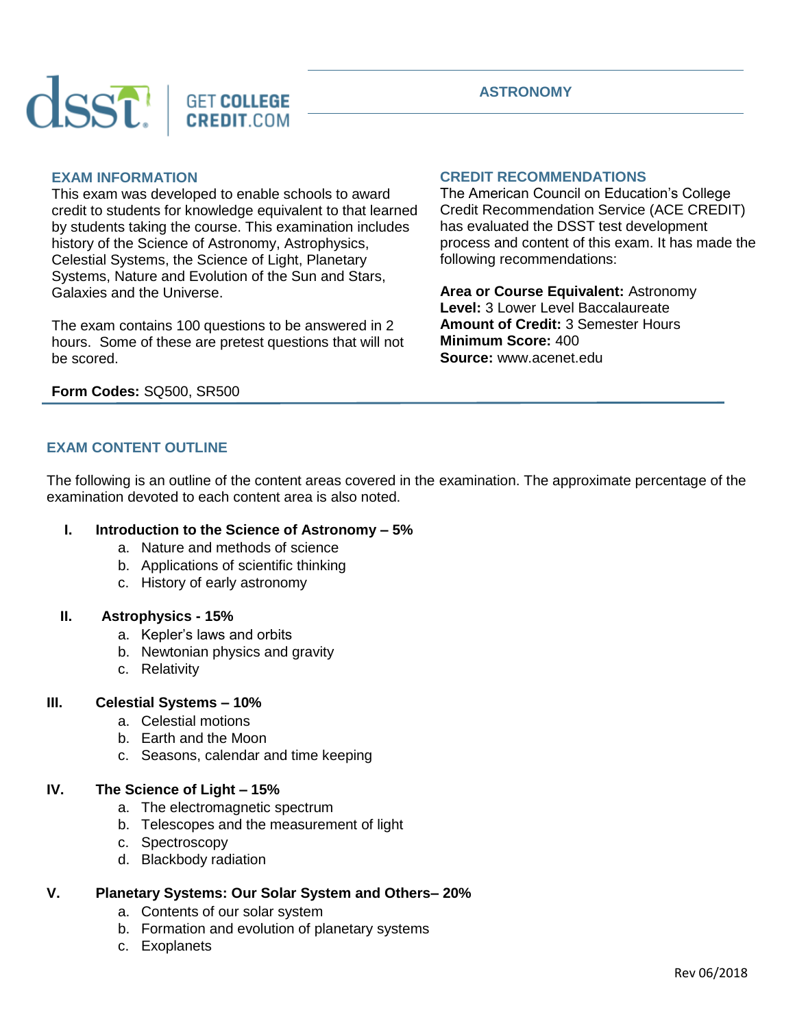

# **EXAM INFORMATION**

This exam was developed to enable schools to award credit to students for knowledge equivalent to that learned by students taking the course. This examination includes history of the Science of Astronomy, Astrophysics, Celestial Systems, the Science of Light, Planetary Systems, Nature and Evolution of the Sun and Stars, Galaxies and the Universe.

The exam contains 100 questions to be answered in 2 hours. Some of these are pretest questions that will not be scored.

### **CREDIT RECOMMENDATIONS**

The American Council on Education's College Credit Recommendation Service (ACE CREDIT) has evaluated the DSST test development process and content of this exam. It has made the following recommendations:

**Area or Course Equivalent:** Astronomy **Level:** 3 Lower Level Baccalaureate **Amount of Credit:** 3 Semester Hours **Minimum Score:** 400 **Source:** www.acenet.edu

#### **Form Codes:** SQ500, SR500

## **EXAM CONTENT OUTLINE**

The following is an outline of the content areas covered in the examination. The approximate percentage of the examination devoted to each content area is also noted.

### **I. Introduction to the Science of Astronomy – 5%**

- a. Nature and methods of science
- b. Applications of scientific thinking
- c. History of early astronomy

#### **II. Astrophysics - 15%**

- a. Kepler's laws and orbits
- b. Newtonian physics and gravity
- c. Relativity

### **III. Celestial Systems – 10%**

- a. Celestial motions
- b. Earth and the Moon
- c. Seasons, calendar and time keeping

#### **IV. The Science of Light – 15%**

- a. The electromagnetic spectrum
- b. Telescopes and the measurement of light
- c. Spectroscopy
- d. Blackbody radiation

## **V. Planetary Systems: Our Solar System and Others– 20%**

- a. Contents of our solar system
- b. Formation and evolution of planetary systems
- c. Exoplanets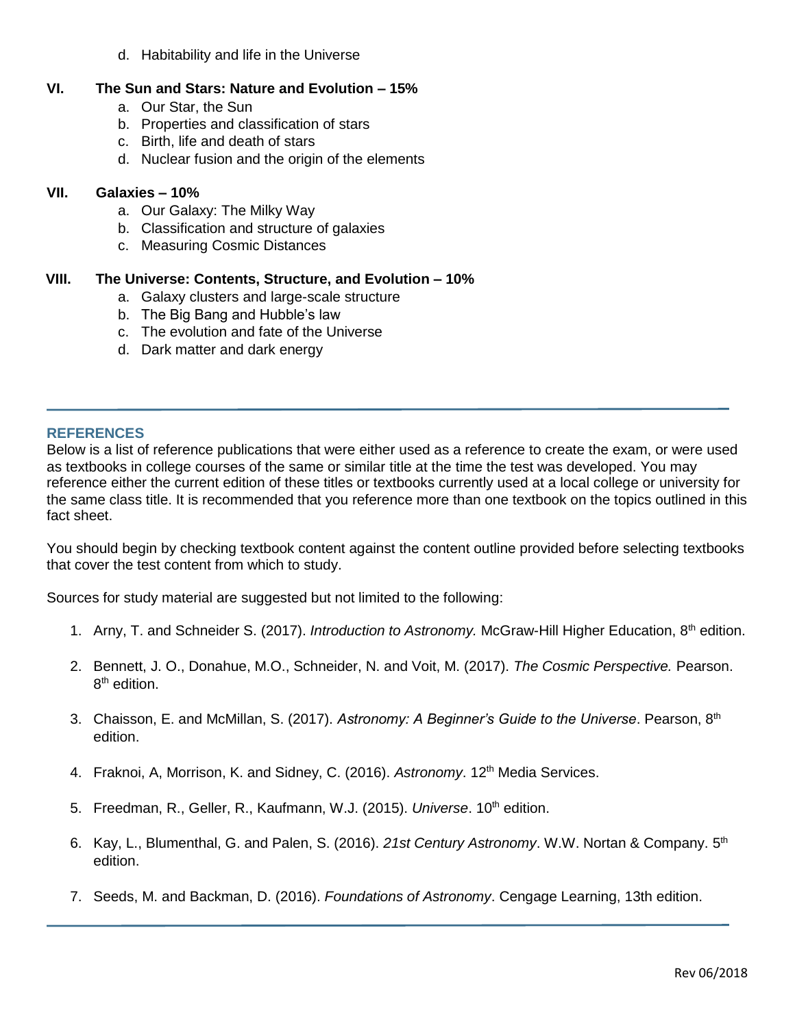d. Habitability and life in the Universe

# **VI. The Sun and Stars: Nature and Evolution – 15%**

- a. Our Star, the Sun
- b. Properties and classification of stars
- c. Birth, life and death of stars
- d. Nuclear fusion and the origin of the elements

## **VII. Galaxies – 10%**

- a. Our Galaxy: The Milky Way
- b. Classification and structure of galaxies
- c. Measuring Cosmic Distances

# **VIII. The Universe: Contents, Structure, and Evolution – 10%**

- a. Galaxy clusters and large-scale structure
- b. The Big Bang and Hubble's law
- c. The evolution and fate of the Universe
- d. Dark matter and dark energy

# **REFERENCES**

Below is a list of reference publications that were either used as a reference to create the exam, or were used as textbooks in college courses of the same or similar title at the time the test was developed. You may reference either the current edition of these titles or textbooks currently used at a local college or university for the same class title. It is recommended that you reference more than one textbook on the topics outlined in this fact sheet.

You should begin by checking textbook content against the content outline provided before selecting textbooks that cover the test content from which to study.

Sources for study material are suggested but not limited to the following:

- 1. Arny, T. and Schneider S. (2017). *Introduction to Astronomy.* McGraw-Hill Higher Education, 8th edition.
- 2. Bennett, J. O., Donahue, M.O., Schneider, N. and Voit, M. (2017). *The Cosmic Perspective.* Pearson. 8<sup>th</sup> edition.
- 3. Chaisson, E. and McMillan, S. (2017). *Astronomy: A Beginner's Guide to the Universe*. Pearson, 8th edition.
- 4. Fraknoi, A, Morrison, K. and Sidney, C. (2016). Astronomy. 12<sup>th</sup> Media Services.
- 5. Freedman, R., Geller, R., Kaufmann, W.J. (2015). *Universe*. 10<sup>th</sup> edition.
- 6. Kay, L., Blumenthal, G. and Palen, S. (2016). 21st Century Astronomy. W.W. Nortan & Company. 5<sup>th</sup> edition.
- 7. Seeds, M. and Backman, D. (2016). *Foundations of Astronomy*. Cengage Learning, 13th edition.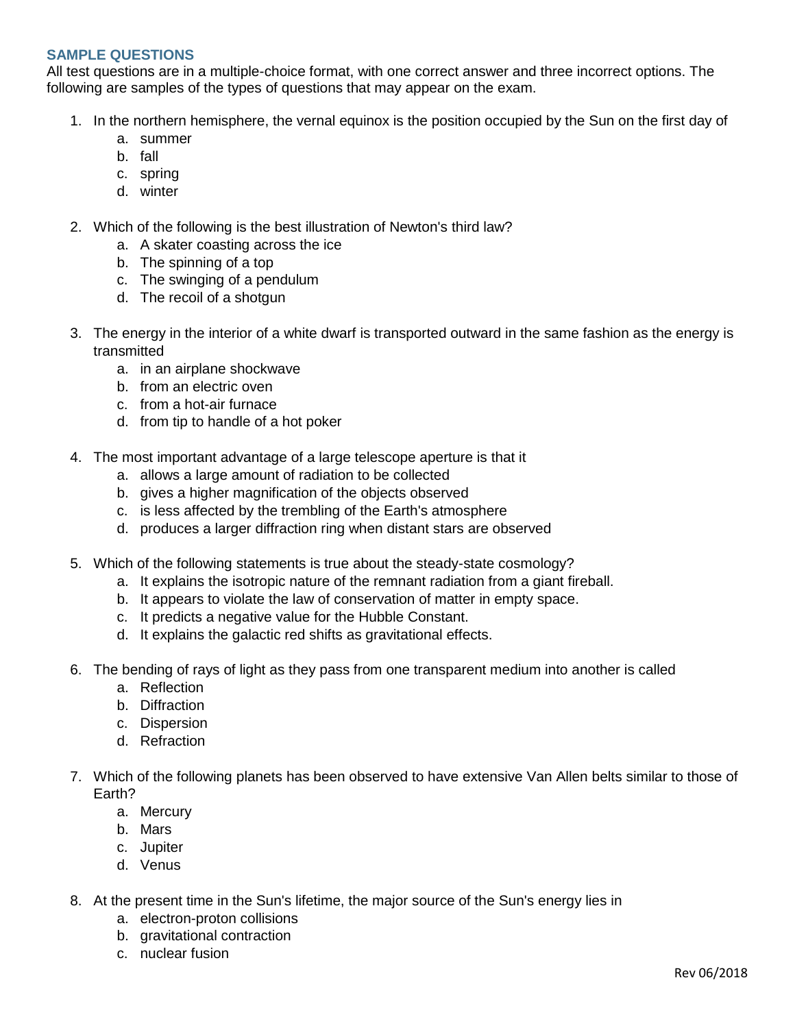## **SAMPLE QUESTIONS**

All test questions are in a multiple-choice format, with one correct answer and three incorrect options. The following are samples of the types of questions that may appear on the exam.

- 1. In the northern hemisphere, the vernal equinox is the position occupied by the Sun on the first day of
	- a. summer
	- b. fall
	- c. spring
	- d. winter
- 2. Which of the following is the best illustration of Newton's third law?
	- a. A skater coasting across the ice
	- b. The spinning of a top
	- c. The swinging of a pendulum
	- d. The recoil of a shotgun
- 3. The energy in the interior of a white dwarf is transported outward in the same fashion as the energy is transmitted
	- a. in an airplane shockwave
	- b. from an electric oven
	- c. from a hot-air furnace
	- d. from tip to handle of a hot poker
- 4. The most important advantage of a large telescope aperture is that it
	- a. allows a large amount of radiation to be collected
	- b. gives a higher magnification of the objects observed
	- c. is less affected by the trembling of the Earth's atmosphere
	- d. produces a larger diffraction ring when distant stars are observed
- 5. Which of the following statements is true about the steady-state cosmology?
	- a. It explains the isotropic nature of the remnant radiation from a giant fireball.
	- b. It appears to violate the law of conservation of matter in empty space.
	- c. It predicts a negative value for the Hubble Constant.
	- d. It explains the galactic red shifts as gravitational effects.
- 6. The bending of rays of light as they pass from one transparent medium into another is called
	- a. Reflection
	- b. Diffraction
	- c. Dispersion
	- d. Refraction
- 7. Which of the following planets has been observed to have extensive Van Allen belts similar to those of Earth?
	- a. Mercury
	- b. Mars
	- c. Jupiter
	- d. Venus
- 8. At the present time in the Sun's lifetime, the major source of the Sun's energy lies in
	- a. electron-proton collisions
	- b. gravitational contraction
	- c. nuclear fusion